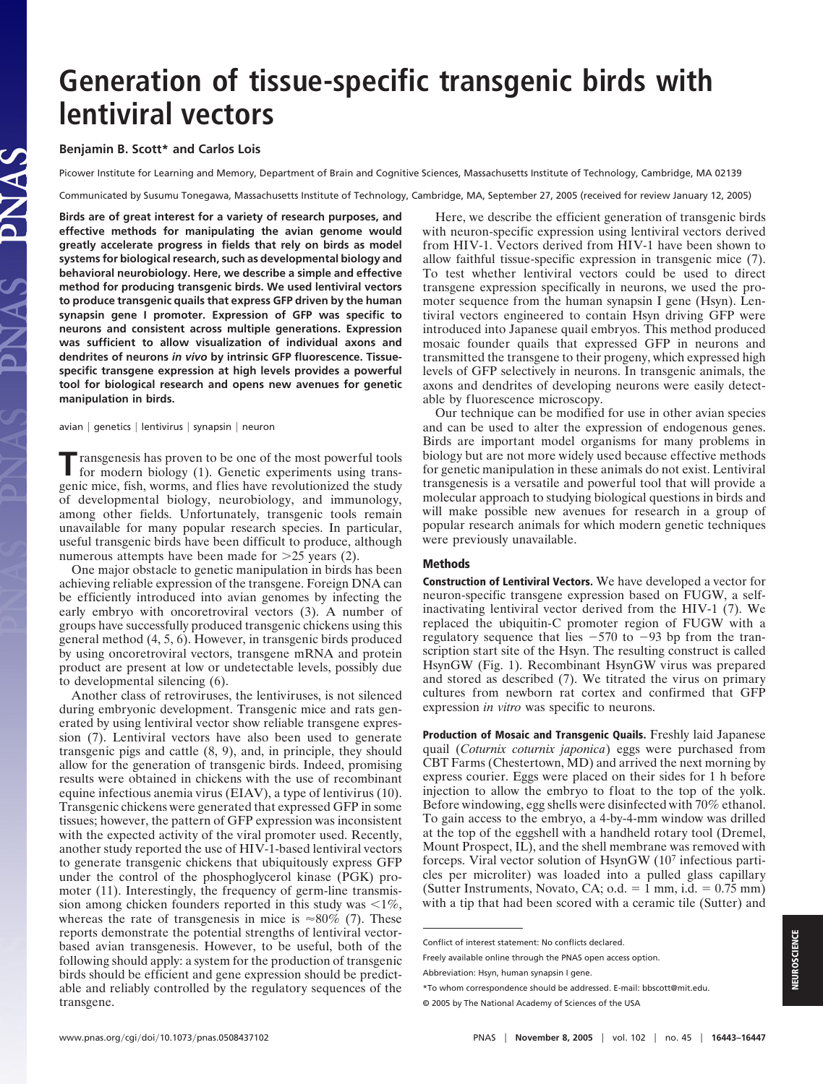# **Generation of tissue-specific transgenic birds with lentiviral vectors**

## **Benjamin B. Scott\* and Carlos Lois**

Picower Institute for Learning and Memory, Department of Brain and Cognitive Sciences, Massachusetts Institute of Technology, Cambridge, MA 02139

Communicated by Susumu Tonegawa, Massachusetts Institute of Technology, Cambridge, MA, September 27, 2005 (received for review January 12, 2005)

**Birds are of great interest for a variety of research purposes, and effective methods for manipulating the avian genome would greatly accelerate progress in fields that rely on birds as model systems for biological research, such as developmental biology and behavioral neurobiology. Here, we describe a simple and effective method for producing transgenic birds. We used lentiviral vectors to produce transgenic quails that express GFP driven by the human synapsin gene I promoter. Expression of GFP was specific to neurons and consistent across multiple generations. Expression was sufficient to allow visualization of individual axons and dendrites of neurons** *in vivo* **by intrinsic GFP fluorescence. Tissuespecific transgene expression at high levels provides a powerful tool for biological research and opens new avenues for genetic manipulation in birds.**

 $a$ vian  $|$  genetics  $|$  lentivirus  $|$  synapsin  $|$  neuron

**T**ransgenesis has proven to be one of the most powerful tools for modern biology (1). Genetic experiments using transgenic mice, fish, worms, and flies have revolutionized the study of developmental biology, neurobiology, and immunology, among other fields. Unfortunately, transgenic tools remain unavailable for many popular research species. In particular, useful transgenic birds have been difficult to produce, although numerous attempts have been made for  $>25$  years (2).

One major obstacle to genetic manipulation in birds has been achieving reliable expression of the transgene. Foreign DNA can be efficiently introduced into avian genomes by infecting the early embryo with oncoretroviral vectors (3). A number of groups have successfully produced transgenic chickens using this general method (4, 5, 6). However, in transgenic birds produced by using oncoretroviral vectors, transgene mRNA and protein product are present at low or undetectable levels, possibly due to developmental silencing (6).

Another class of retroviruses, the lentiviruses, is not silenced during embryonic development. Transgenic mice and rats generated by using lentiviral vector show reliable transgene expression (7). Lentiviral vectors have also been used to generate transgenic pigs and cattle (8, 9), and, in principle, they should allow for the generation of transgenic birds. Indeed, promising results were obtained in chickens with the use of recombinant equine infectious anemia virus (EIAV), a type of lentivirus (10). Transgenic chickens were generated that expressed GFP in some tissues; however, the pattern of GFP expression was inconsistent with the expected activity of the viral promoter used. Recently, another study reported the use of HIV-1-based lentiviral vectors to generate transgenic chickens that ubiquitously express GFP under the control of the phosphoglycerol kinase (PGK) promoter (11). Interestingly, the frequency of germ-line transmission among chicken founders reported in this study was  $\leq 1\%$ , whereas the rate of transgenesis in mice is  $\approx 80\%$  (7). These reports demonstrate the potential strengths of lentiviral vectorbased avian transgenesis. However, to be useful, both of the following should apply: a system for the production of transgenic birds should be efficient and gene expression should be predictable and reliably controlled by the regulatory sequences of the transgene.

Here, we describe the efficient generation of transgenic birds with neuron-specific expression using lentiviral vectors derived from HIV-1. Vectors derived from HIV-1 have been shown to allow faithful tissue-specific expression in transgenic mice (7). To test whether lentiviral vectors could be used to direct transgene expression specifically in neurons, we used the promoter sequence from the human synapsin I gene (Hsyn). Lentiviral vectors engineered to contain Hsyn driving GFP were introduced into Japanese quail embryos. This method produced mosaic founder quails that expressed GFP in neurons and transmitted the transgene to their progeny, which expressed high levels of GFP selectively in neurons. In transgenic animals, the axons and dendrites of developing neurons were easily detectable by fluorescence microscopy.

Our technique can be modified for use in other avian species and can be used to alter the expression of endogenous genes. Birds are important model organisms for many problems in biology but are not more widely used because effective methods for genetic manipulation in these animals do not exist. Lentiviral transgenesis is a versatile and powerful tool that will provide a molecular approach to studying biological questions in birds and will make possible new avenues for research in a group of popular research animals for which modern genetic techniques were previously unavailable.

## **Methods**

**Construction of Lentiviral Vectors.** We have developed a vector for neuron-specific transgene expression based on FUGW, a selfinactivating lentiviral vector derived from the HIV-1 (7). We replaced the ubiquitin-C promoter region of FUGW with a regulatory sequence that lies  $-570$  to  $-93$  bp from the transcription start site of the Hsyn. The resulting construct is called HsynGW (Fig. 1). Recombinant HsynGW virus was prepared and stored as described (7). We titrated the virus on primary cultures from newborn rat cortex and confirmed that GFP expression *in vitro* was specific to neurons.

**Production of Mosaic and Transgenic Quails.** Freshly laid Japanese quail (*Coturnix coturnix japonica*) eggs were purchased from CBT Farms (Chestertown, MD) and arrived the next morning by express courier. Eggs were placed on their sides for 1 h before injection to allow the embryo to float to the top of the yolk. Before windowing, egg shells were disinfected with 70% ethanol. To gain access to the embryo, a 4-by-4-mm window was drilled at the top of the eggshell with a handheld rotary tool (Dremel, Mount Prospect, IL), and the shell membrane was removed with forceps. Viral vector solution of HsynGW (10<sup>7</sup> infectious particles per microliter) was loaded into a pulled glass capillary (Sutter Instruments, Novato, CA;  $o.d. = 1$  mm, i.d.  $= 0.75$  mm) with a tip that had been scored with a ceramic tile (Sutter) and

Conflict of interest statement: No conflicts declared.

Freely available online through the PNAS open access option.

Abbreviation: Hsyn, human synapsin I gene.

<sup>\*</sup>To whom correspondence should be addressed. E-mail: bbscott@mit.edu.

<sup>© 2005</sup> by The National Academy of Sciences of the USA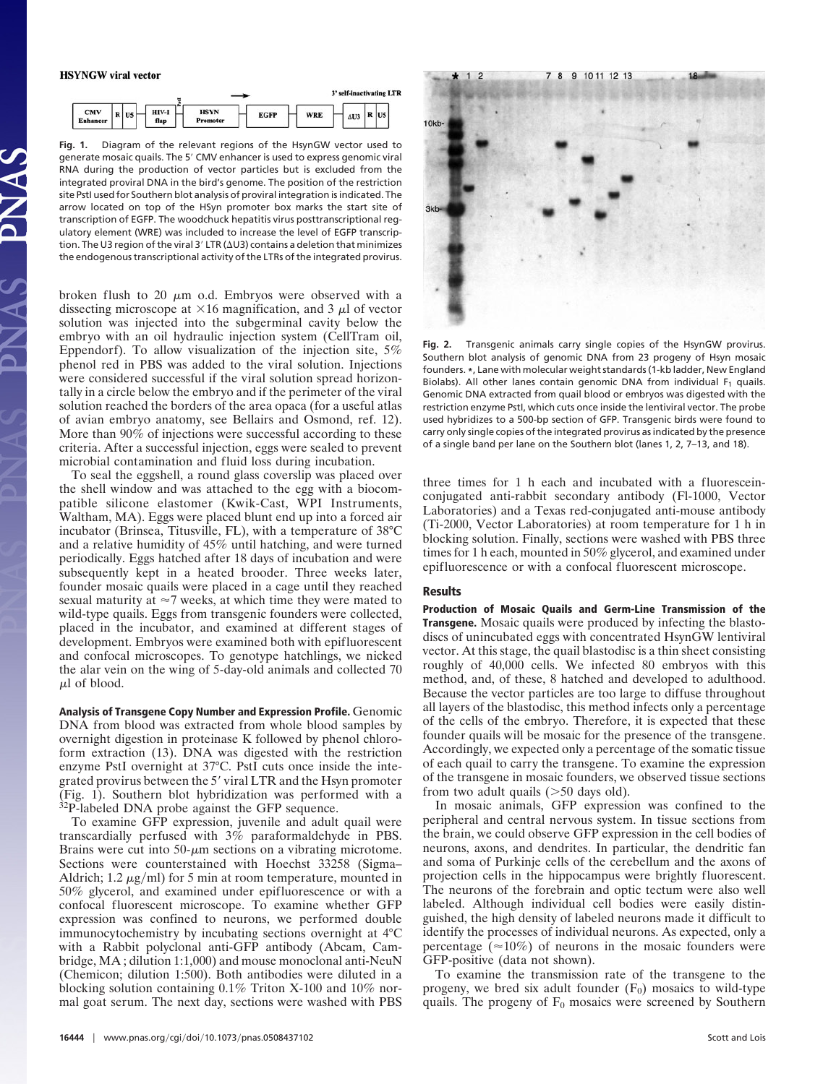#### **HSYNGW** viral vector



**Fig. 1.** Diagram of the relevant regions of the HsynGW vector used to generate mosaic quails. The 5' CMV enhancer is used to express genomic viral RNA during the production of vector particles but is excluded from the integrated proviral DNA in the bird's genome. The position of the restriction site PstI used for Southern blot analysis of proviral integration is indicated. The arrow located on top of the HSyn promoter box marks the start site of transcription of EGFP. The woodchuck hepatitis virus posttranscriptional regulatory element (WRE) was included to increase the level of EGFP transcription. The U3 region of the viral 3' LTR ( $\Delta$ U3) contains a deletion that minimizes the endogenous transcriptional activity of the LTRs of the integrated provirus.

broken flush to 20  $\mu$ m o.d. Embryos were observed with a dissecting microscope at  $\times 16$  magnification, and 3  $\mu$ l of vector solution was injected into the subgerminal cavity below the embryo with an oil hydraulic injection system (CellTram oil, Eppendorf). To allow visualization of the injection site, 5% phenol red in PBS was added to the viral solution. Injections were considered successful if the viral solution spread horizontally in a circle below the embryo and if the perimeter of the viral solution reached the borders of the area opaca (for a useful atlas of avian embryo anatomy, see Bellairs and Osmond, ref. 12). More than 90% of injections were successful according to these criteria. After a successful injection, eggs were sealed to prevent microbial contamination and fluid loss during incubation.

To seal the eggshell, a round glass coverslip was placed over the shell window and was attached to the egg with a biocompatible silicone elastomer (Kwik-Cast, WPI Instruments, Waltham, MA). Eggs were placed blunt end up into a forced air incubator (Brinsea, Titusville, FL), with a temperature of 38°C and a relative humidity of 45% until hatching, and were turned periodically. Eggs hatched after 18 days of incubation and were subsequently kept in a heated brooder. Three weeks later, founder mosaic quails were placed in a cage until they reached sexual maturity at  $\approx$  7 weeks, at which time they were mated to wild-type quails. Eggs from transgenic founders were collected, placed in the incubator, and examined at different stages of development. Embryos were examined both with epifluorescent and confocal microscopes. To genotype hatchlings, we nicked the alar vein on the wing of 5-day-old animals and collected 70  $\mu$ l of blood.

**Analysis of Transgene Copy Number and Expression Profile.** Genomic DNA from blood was extracted from whole blood samples by overnight digestion in proteinase K followed by phenol chloroform extraction (13). DNA was digested with the restriction enzyme PstI overnight at 37°C. PstI cuts once inside the integrated provirus between the 5' viral LTR and the Hsyn promoter (Fig. 1). Southern blot hybridization was performed with a <sup>32</sup>P-labeled DNA probe against the GFP sequence.

To examine GFP expression, juvenile and adult quail were transcardially perfused with 3% paraformaldehyde in PBS. Brains were cut into  $50-\mu m$  sections on a vibrating microtome. Sections were counterstained with Hoechst 33258 (Sigma– Aldrich; 1.2  $\mu$ g/ml) for 5 min at room temperature, mounted in 50% glycerol, and examined under epifluorescence or with a confocal fluorescent microscope. To examine whether GFP expression was confined to neurons, we performed double immunocytochemistry by incubating sections overnight at 4°C with a Rabbit polyclonal anti-GFP antibody (Abcam, Cambridge, MA ; dilution 1:1,000) and mouse monoclonal anti-NeuN (Chemicon; dilution 1:500). Both antibodies were diluted in a blocking solution containing 0.1% Triton X-100 and 10% normal goat serum. The next day, sections were washed with PBS



**Fig. 2.** Transgenic animals carry single copies of the HsynGW provirus. Southern blot analysis of genomic DNA from 23 progeny of Hsyn mosaic founders. **\***, Lane with molecular weight standards (1-kb ladder, New England Biolabs). All other lanes contain genomic DNA from individual  $F_1$  quails. Genomic DNA extracted from quail blood or embryos was digested with the restriction enzyme PstI, which cuts once inside the lentiviral vector. The probe used hybridizes to a 500-bp section of GFP. Transgenic birds were found to carry only single copies of the integrated provirus as indicated by the presence of a single band per lane on the Southern blot (lanes 1, 2, 7–13, and 18).

three times for 1 h each and incubated with a fluoresceinconjugated anti-rabbit secondary antibody (Fl-1000, Vector Laboratories) and a Texas red-conjugated anti-mouse antibody (Ti-2000, Vector Laboratories) at room temperature for 1 h in blocking solution. Finally, sections were washed with PBS three times for 1 h each, mounted in 50% glycerol, and examined under epifluorescence or with a confocal fluorescent microscope.

## **Results**

**Production of Mosaic Quails and Germ-Line Transmission of the Transgene.** Mosaic quails were produced by infecting the blastodiscs of unincubated eggs with concentrated HsynGW lentiviral vector. At this stage, the quail blastodisc is a thin sheet consisting roughly of 40,000 cells. We infected 80 embryos with this method, and, of these, 8 hatched and developed to adulthood. Because the vector particles are too large to diffuse throughout all layers of the blastodisc, this method infects only a percentage of the cells of the embryo. Therefore, it is expected that these founder quails will be mosaic for the presence of the transgene. Accordingly, we expected only a percentage of the somatic tissue of each quail to carry the transgene. To examine the expression of the transgene in mosaic founders, we observed tissue sections from two adult quails  $(>50$  days old).

In mosaic animals, GFP expression was confined to the peripheral and central nervous system. In tissue sections from the brain, we could observe GFP expression in the cell bodies of neurons, axons, and dendrites. In particular, the dendritic fan and soma of Purkinje cells of the cerebellum and the axons of projection cells in the hippocampus were brightly fluorescent. The neurons of the forebrain and optic tectum were also well labeled. Although individual cell bodies were easily distinguished, the high density of labeled neurons made it difficult to identify the processes of individual neurons. As expected, only a percentage ( $\approx 10\%$ ) of neurons in the mosaic founders were GFP-positive (data not shown).

To examine the transmission rate of the transgene to the progeny, we bred six adult founder  $(F_0)$  mosaics to wild-type quails. The progeny of  $F_0$  mosaics were screened by Southern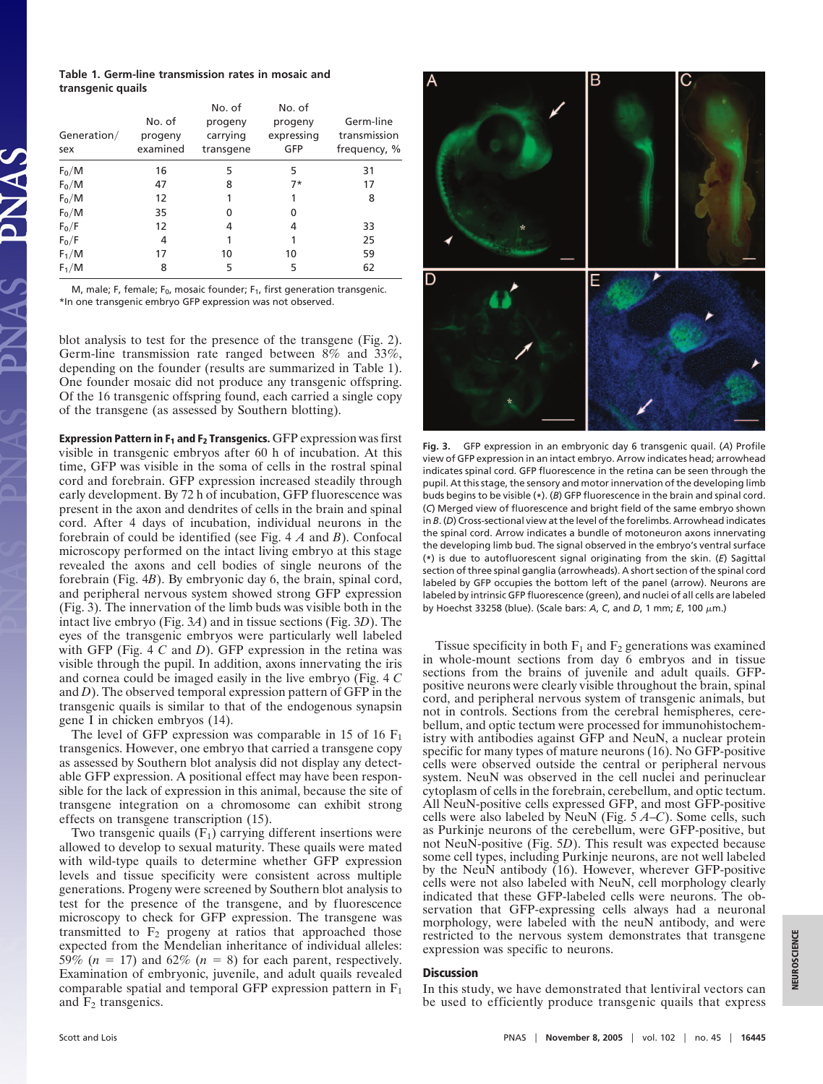## **Table 1. Germ-line transmission rates in mosaic and transgenic quails**

| Generation/<br>sex | No. of<br>progeny<br>examined | No. of<br>progeny<br>carrying<br>transgene | No. of<br>progeny<br>expressing<br>GFP | Germ-line<br>transmission<br>frequency, % |
|--------------------|-------------------------------|--------------------------------------------|----------------------------------------|-------------------------------------------|
| $F_0/M$            | 16                            | 5                                          | 5                                      | 31                                        |
| $F_0/M$            | 47                            | 8                                          | $7*$                                   | 17                                        |
| $F_0/M$            | 12                            |                                            | 1                                      | 8                                         |
| $F_0/M$            | 35                            | 0                                          | 0                                      |                                           |
| $F_0/F$            | 12                            | 4                                          | 4                                      | 33                                        |
| $F_0/F$            | 4                             |                                            |                                        | 25                                        |
| $F_1/M$            | 17                            | 10                                         | 10                                     | 59                                        |
| $F_1/M$            | 8                             | 5                                          | 5                                      | 62                                        |

M, male; F, female;  $F_0$ , mosaic founder;  $F_1$ , first generation transgenic. \*In one transgenic embryo GFP expression was not observed.

blot analysis to test for the presence of the transgene (Fig. 2). Germ-line transmission rate ranged between 8% and 33%, depending on the founder (results are summarized in Table 1). One founder mosaic did not produce any transgenic offspring. Of the 16 transgenic offspring found, each carried a single copy of the transgene (as assessed by Southern blotting).

**Expression Pattern in F<sub>1</sub> and F<sub>2</sub> Transgenics.** GFP expression was first visible in transgenic embryos after 60 h of incubation. At this time, GFP was visible in the soma of cells in the rostral spinal cord and forebrain. GFP expression increased steadily through early development. By 72 h of incubation, GFP fluorescence was present in the axon and dendrites of cells in the brain and spinal cord. After 4 days of incubation, individual neurons in the forebrain of could be identified (see Fig. 4 *A* and *B*). Confocal microscopy performed on the intact living embryo at this stage revealed the axons and cell bodies of single neurons of the forebrain (Fig. 4*B*). By embryonic day 6, the brain, spinal cord, and peripheral nervous system showed strong GFP expression (Fig. 3). The innervation of the limb buds was visible both in the intact live embryo (Fig. 3*A*) and in tissue sections (Fig. 3*D*). The eyes of the transgenic embryos were particularly well labeled with GFP (Fig. 4 *C* and *D*). GFP expression in the retina was visible through the pupil. In addition, axons innervating the iris and cornea could be imaged easily in the live embryo (Fig. 4 *C* and *D*). The observed temporal expression pattern of GFP in the transgenic quails is similar to that of the endogenous synapsin gene I in chicken embryos (14).

The level of GFP expression was comparable in 15 of 16  $F_1$ transgenics. However, one embryo that carried a transgene copy as assessed by Southern blot analysis did not display any detectable GFP expression. A positional effect may have been responsible for the lack of expression in this animal, because the site of transgene integration on a chromosome can exhibit strong effects on transgene transcription (15).

Two transgenic quails  $(F_1)$  carrying different insertions were allowed to develop to sexual maturity. These quails were mated with wild-type quails to determine whether GFP expression levels and tissue specificity were consistent across multiple generations. Progeny were screened by Southern blot analysis to test for the presence of the transgene, and by fluorescence microscopy to check for GFP expression. The transgene was transmitted to  $F_2$  progeny at ratios that approached those expected from the Mendelian inheritance of individual alleles: 59% ( $n = 17$ ) and 62% ( $n = 8$ ) for each parent, respectively. Examination of embryonic, juvenile, and adult quails revealed comparable spatial and temporal GFP expression pattern in  $F_1$ and  $F_2$  transgenics.



**Fig. 3.** GFP expression in an embryonic day 6 transgenic quail. (*A*) Profile view of GFP expression in an intact embryo. Arrow indicates head; arrowhead indicates spinal cord. GFP fluorescence in the retina can be seen through the pupil. At this stage, the sensory and motor innervation of the developing limb buds begins to be visible (**\***). (*B*) GFP fluorescence in the brain and spinal cord. (*C*) Merged view of fluorescence and bright field of the same embryo shown in *B*. (*D*) Cross-sectional view at the level of the forelimbs. Arrowhead indicates the spinal cord. Arrow indicates a bundle of motoneuron axons innervating the developing limb bud. The signal observed in the embryo's ventral surface (**\***) is due to autofluorescent signal originating from the skin. (*E*) Sagittal section of three spinal ganglia (arrowheads). A short section of the spinal cord labeled by GFP occupies the bottom left of the panel (arrow). Neurons are labeled by intrinsic GFP fluorescence (green), and nuclei of all cells are labeled by Hoechst 33258 (blue). (Scale bars: *A*, *C*, and *D*, 1 mm; *E*, 100 μm.)

Tissue specificity in both  $F_1$  and  $F_2$  generations was examined in whole-mount sections from day 6 embryos and in tissue sections from the brains of juvenile and adult quails. GFPpositive neurons were clearly visible throughout the brain, spinal cord, and peripheral nervous system of transgenic animals, but not in controls. Sections from the cerebral hemispheres, cerebellum, and optic tectum were processed for immunohistochemistry with antibodies against GFP and NeuN, a nuclear protein specific for many types of mature neurons (16). No GFP-positive cells were observed outside the central or peripheral nervous system. NeuN was observed in the cell nuclei and perinuclear cytoplasm of cells in the forebrain, cerebellum, and optic tectum. All NeuN-positive cells expressed GFP, and most GFP-positive cells were also labeled by NeuN (Fig. 5 *A*–*C*). Some cells, such as Purkinje neurons of the cerebellum, were GFP-positive, but not NeuN-positive (Fig. 5*D*). This result was expected because some cell types, including Purkinje neurons, are not well labeled by the NeuN antibody (16). However, wherever GFP-positive cells were not also labeled with NeuN, cell morphology clearly indicated that these GFP-labeled cells were neurons. The observation that GFP-expressing cells always had a neuronal morphology, were labeled with the neuN antibody, and were restricted to the nervous system demonstrates that transgene expression was specific to neurons.

## **Discussion**

In this study, we have demonstrated that lentiviral vectors can be used to efficiently produce transgenic quails that express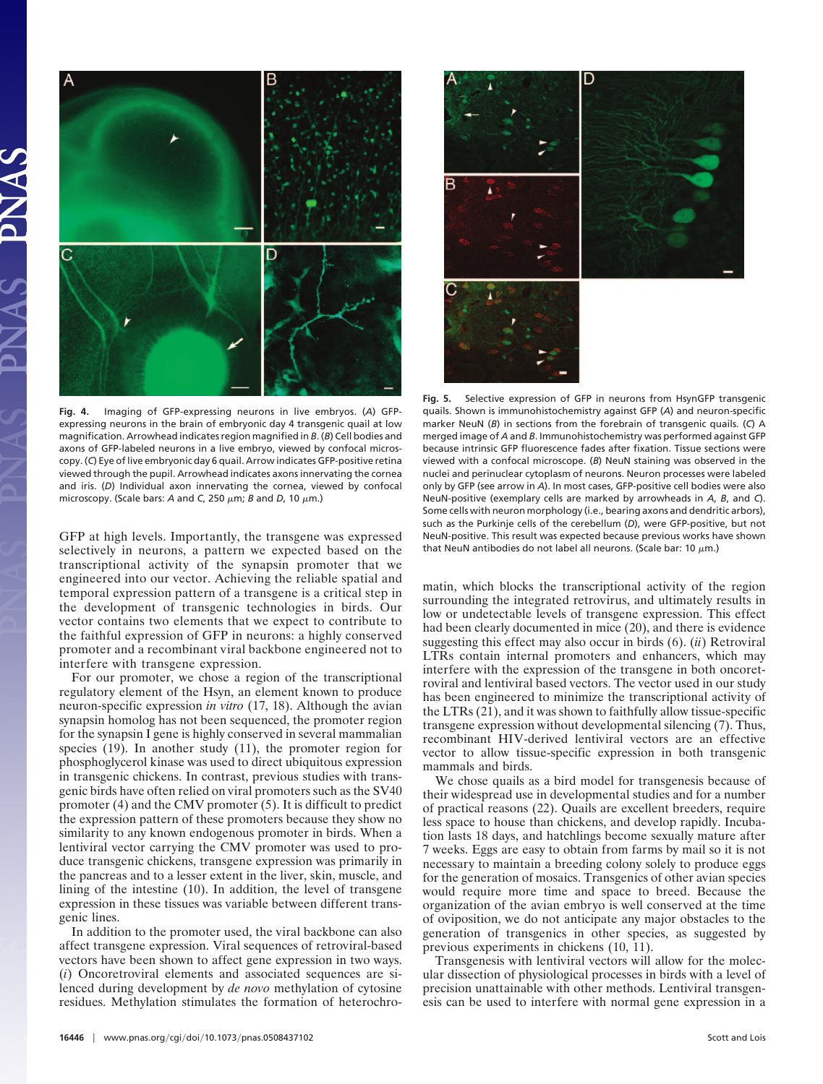

**Fig. 4.** Imaging of GFP-expressing neurons in live embryos. (*A*) GFPexpressing neurons in the brain of embryonic day 4 transgenic quail at low magnification. Arrowhead indicates region magnified in *B*. (*B*) Cell bodies and axons of GFP-labeled neurons in a live embryo, viewed by confocal microscopy. (*C*) Eye of live embryonic day 6 quail. Arrow indicates GFP-positive retina viewed through the pupil. Arrowhead indicates axons innervating the cornea and iris. (*D*) Individual axon innervating the cornea, viewed by confocal microscopy. (Scale bars: *A* and *C*, 250  $μm$ ; *B* and *D*, 10  $μm$ .)

GFP at high levels. Importantly, the transgene was expressed selectively in neurons, a pattern we expected based on the transcriptional activity of the synapsin promoter that we engineered into our vector. Achieving the reliable spatial and temporal expression pattern of a transgene is a critical step in the development of transgenic technologies in birds. Our vector contains two elements that we expect to contribute to the faithful expression of GFP in neurons: a highly conserved promoter and a recombinant viral backbone engineered not to interfere with transgene expression.

For our promoter, we chose a region of the transcriptional regulatory element of the Hsyn, an element known to produce neuron-specific expression *in vitro* (17, 18). Although the avian synapsin homolog has not been sequenced, the promoter region for the synapsin I gene is highly conserved in several mammalian species (19). In another study (11), the promoter region for phosphoglycerol kinase was used to direct ubiquitous expression in transgenic chickens. In contrast, previous studies with transgenic birds have often relied on viral promoters such as the SV40 promoter (4) and the CMV promoter (5). It is difficult to predict the expression pattern of these promoters because they show no similarity to any known endogenous promoter in birds. When a lentiviral vector carrying the CMV promoter was used to produce transgenic chickens, transgene expression was primarily in the pancreas and to a lesser extent in the liver, skin, muscle, and lining of the intestine (10). In addition, the level of transgene expression in these tissues was variable between different transgenic lines.

In addition to the promoter used, the viral backbone can also affect transgene expression. Viral sequences of retroviral-based vectors have been shown to affect gene expression in two ways. (*i*) Oncoretroviral elements and associated sequences are silenced during development by *de novo* methylation of cytosine residues. Methylation stimulates the formation of heterochro-



**Fig. 5.** Selective expression of GFP in neurons from HsynGFP transgenic quails. Shown is immunohistochemistry against GFP (*A*) and neuron-specific marker NeuN (*B*) in sections from the forebrain of transgenic quails. (*C*) A merged image of *A* and *B*. Immunohistochemistry was performed against GFP because intrinsic GFP fluorescence fades after fixation. Tissue sections were viewed with a confocal microscope. (*B*) NeuN staining was observed in the nuclei and perinuclear cytoplasm of neurons. Neuron processes were labeled only by GFP (see arrow in *A*). In most cases, GFP-positive cell bodies were also NeuN-positive (exemplary cells are marked by arrowheads in *A*, *B*, and *C*). Some cells with neuron morphology (i.e., bearing axons and dendritic arbors), such as the Purkinje cells of the cerebellum (*D*), were GFP-positive, but not NeuN-positive. This result was expected because previous works have shown that NeuN antibodies do not label all neurons. (Scale bar: 10  $\mu$ m.)

matin, which blocks the transcriptional activity of the region surrounding the integrated retrovirus, and ultimately results in low or undetectable levels of transgene expression. This effect had been clearly documented in mice (20), and there is evidence suggesting this effect may also occur in birds (6). (*ii*) Retroviral LTRs contain internal promoters and enhancers, which may interfere with the expression of the transgene in both oncoretroviral and lentiviral based vectors. The vector used in our study has been engineered to minimize the transcriptional activity of the LTRs (21), and it was shown to faithfully allow tissue-specific transgene expression without developmental silencing (7). Thus, recombinant HIV-derived lentiviral vectors are an effective vector to allow tissue-specific expression in both transgenic mammals and birds.

We chose quails as a bird model for transgenesis because of their widespread use in developmental studies and for a number of practical reasons (22). Quails are excellent breeders, require less space to house than chickens, and develop rapidly. Incubation lasts 18 days, and hatchlings become sexually mature after 7 weeks. Eggs are easy to obtain from farms by mail so it is not necessary to maintain a breeding colony solely to produce eggs for the generation of mosaics. Transgenics of other avian species would require more time and space to breed. Because the organization of the avian embryo is well conserved at the time of oviposition, we do not anticipate any major obstacles to the generation of transgenics in other species, as suggested by previous experiments in chickens (10, 11).

Transgenesis with lentiviral vectors will allow for the molecular dissection of physiological processes in birds with a level of precision unattainable with other methods. Lentiviral transgenesis can be used to interfere with normal gene expression in a